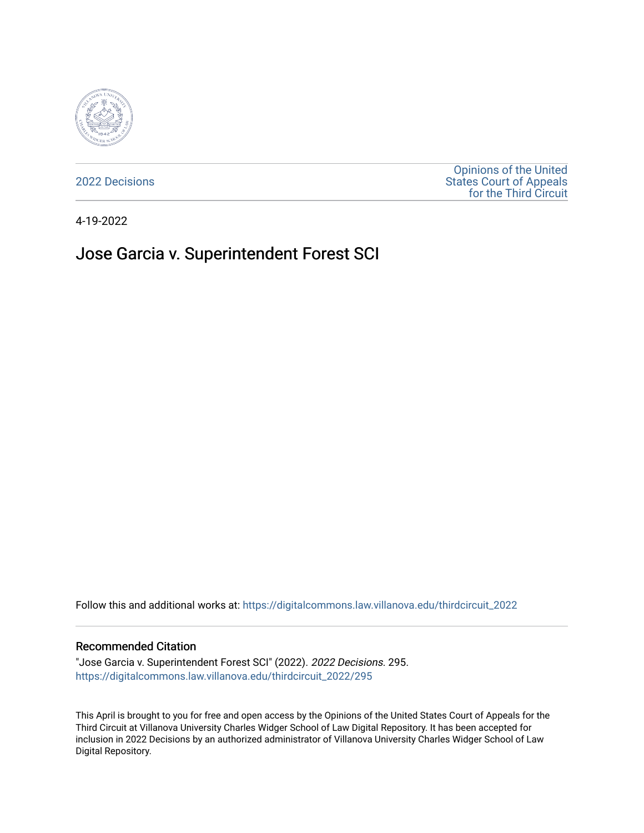

[2022 Decisions](https://digitalcommons.law.villanova.edu/thirdcircuit_2022)

[Opinions of the United](https://digitalcommons.law.villanova.edu/thirdcircuit)  [States Court of Appeals](https://digitalcommons.law.villanova.edu/thirdcircuit)  [for the Third Circuit](https://digitalcommons.law.villanova.edu/thirdcircuit) 

4-19-2022

# Jose Garcia v. Superintendent Forest SCI

Follow this and additional works at: [https://digitalcommons.law.villanova.edu/thirdcircuit\\_2022](https://digitalcommons.law.villanova.edu/thirdcircuit_2022?utm_source=digitalcommons.law.villanova.edu%2Fthirdcircuit_2022%2F295&utm_medium=PDF&utm_campaign=PDFCoverPages) 

#### Recommended Citation

"Jose Garcia v. Superintendent Forest SCI" (2022). 2022 Decisions. 295. [https://digitalcommons.law.villanova.edu/thirdcircuit\\_2022/295](https://digitalcommons.law.villanova.edu/thirdcircuit_2022/295?utm_source=digitalcommons.law.villanova.edu%2Fthirdcircuit_2022%2F295&utm_medium=PDF&utm_campaign=PDFCoverPages)

This April is brought to you for free and open access by the Opinions of the United States Court of Appeals for the Third Circuit at Villanova University Charles Widger School of Law Digital Repository. It has been accepted for inclusion in 2022 Decisions by an authorized administrator of Villanova University Charles Widger School of Law Digital Repository.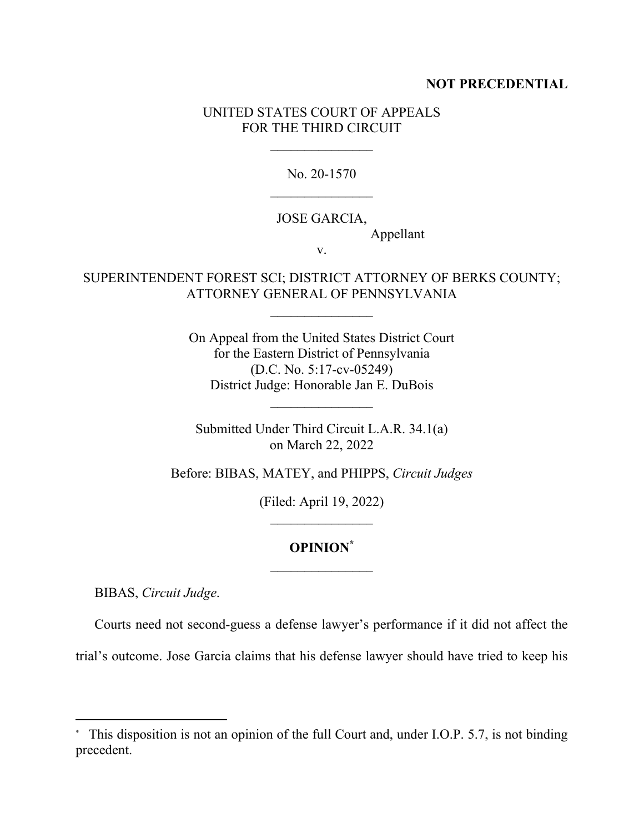#### **NOT PRECEDENTIAL**

### UNITED STATES COURT OF APPEALS FOR THE THIRD CIRCUIT

No. 20-1570  $\mathcal{L}_\text{max}$ 

#### JOSE GARCIA,

Appellant

v.

## SUPERINTENDENT FOREST SCI; DISTRICT ATTORNEY OF BERKS COUNTY; ATTORNEY GENERAL OF PENNSYLVANIA

On Appeal from the United States District Court for the Eastern District of Pennsylvania (D.C. No. 5:17-cv-05249) District Judge: Honorable Jan E. DuBois

Submitted Under Third Circuit L.A.R. 34.1(a) on March 22, 2022

Before: BIBAS, MATEY, and PHIPPS, *Circuit Judges* 

(Filed: April 19, 2022)  $\mathcal{L}_\text{max}$ 

## **OPINION\***

BIBAS, *Circuit Judge*.

Courts need not second-guess a defense lawyer's performance if it did not affect the

trial's outcome. Jose Garcia claims that his defense lawyer should have tried to keep his

<sup>\*</sup> This disposition is not an opinion of the full Court and, under I.O.P. 5.7, is not binding precedent.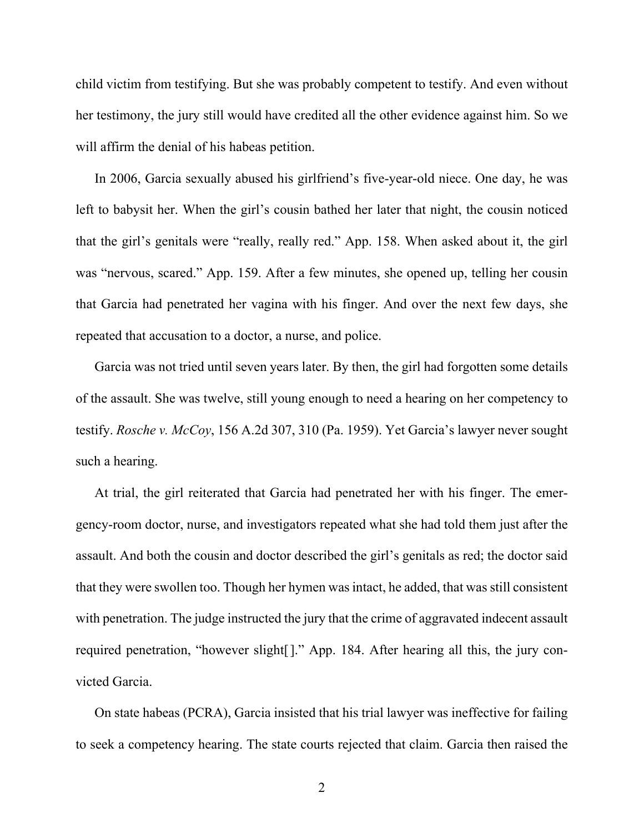child victim from testifying. But she was probably competent to testify. And even without her testimony, the jury still would have credited all the other evidence against him. So we will affirm the denial of his habeas petition.

In 2006, Garcia sexually abused his girlfriend's five-year-old niece. One day, he was left to babysit her. When the girl's cousin bathed her later that night, the cousin noticed that the girl's genitals were "really, really red." App. 158. When asked about it, the girl was "nervous, scared." App. 159. After a few minutes, she opened up, telling her cousin that Garcia had penetrated her vagina with his finger. And over the next few days, she repeated that accusation to a doctor, a nurse, and police.

Garcia was not tried until seven years later. By then, the girl had forgotten some details of the assault. She was twelve, still young enough to need a hearing on her competency to testify. *Rosche v. McCoy*, 156 A.2d 307, 310 (Pa. 1959). Yet Garcia's lawyer never sought such a hearing.

At trial, the girl reiterated that Garcia had penetrated her with his finger. The emergency-room doctor, nurse, and investigators repeated what she had told them just after the assault. And both the cousin and doctor described the girl's genitals as red; the doctor said that they were swollen too. Though her hymen was intact, he added, that was still consistent with penetration. The judge instructed the jury that the crime of aggravated indecent assault required penetration, "however slight[]." App. 184. After hearing all this, the jury convicted Garcia.

On state habeas (PCRA), Garcia insisted that his trial lawyer was ineffective for failing to seek a competency hearing. The state courts rejected that claim. Garcia then raised the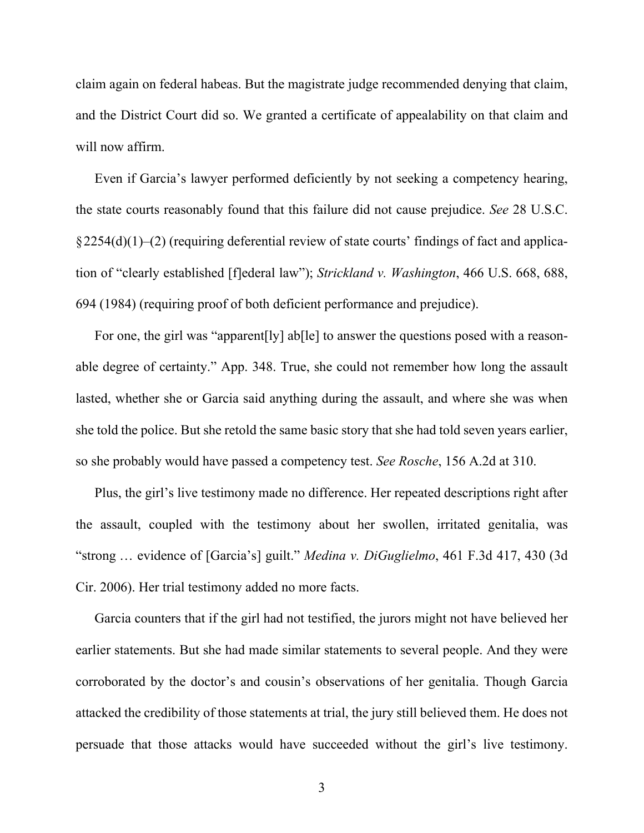claim again on federal habeas. But the magistrate judge recommended denying that claim, and the District Court did so. We granted a certificate of appealability on that claim and will now affirm.

Even if Garcia's lawyer performed deficiently by not seeking a competency hearing, the state courts reasonably found that this failure did not cause prejudice. *See* 28 U.S.C.  $§ 2254(d)(1)–(2)$  (requiring deferential review of state courts' findings of fact and application of "clearly established [f]ederal law"); *Strickland v. Washington*, 466 U.S. 668, 688, 694 (1984) (requiring proof of both deficient performance and prejudice).

For one, the girl was "apparent<sup>[]</sup>y] ab<sup>[]</sup> to answer the questions posed with a reasonable degree of certainty." App. 348. True, she could not remember how long the assault lasted, whether she or Garcia said anything during the assault, and where she was when she told the police. But she retold the same basic story that she had told seven years earlier, so she probably would have passed a competency test. *See Rosche*, 156 A.2d at 310.

Plus, the girl's live testimony made no difference. Her repeated descriptions right after the assault, coupled with the testimony about her swollen, irritated genitalia, was "strong … evidence of [Garcia's] guilt." *Medina v. DiGuglielmo*, 461 F.3d 417, 430 (3d Cir. 2006). Her trial testimony added no more facts.

Garcia counters that if the girl had not testified, the jurors might not have believed her earlier statements. But she had made similar statements to several people. And they were corroborated by the doctor's and cousin's observations of her genitalia. Though Garcia attacked the credibility of those statements at trial, the jury still believed them. He does not persuade that those attacks would have succeeded without the girl's live testimony.